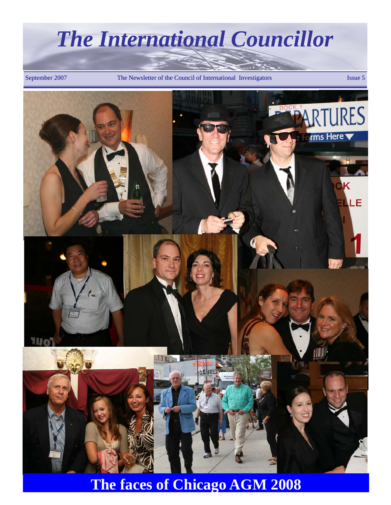September 2007 The Newsletter of the Council of International Investigators Issue 5



**The faces of Chicago AGM 2008**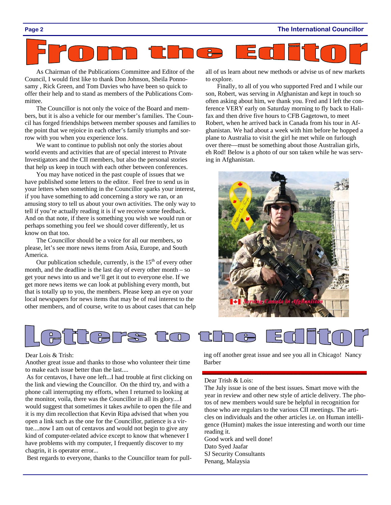As Chairman of the Publications Committee and Editor of the Council, I would first like to thank Don Johnson, Sheila Ponnosamy , Rick Green, and Tom Davies who have been so quick to offer their help and to stand as members of the Publications Committee.

The Councillor is not only the voice of the Board and members, but it is also a vehicle for our member's families. The Council has forged friendships between member spouses and families to the point that we rejoice in each other's family triumphs and sorrow with you when you experience loss.

We want to continue to publish not only the stories about world events and activities that are of special interest to Private Investigators and the CII members, but also the personal stories that help us keep in touch with each other between conferences.

You may have noticed in the past couple of issues that we have published some letters to the editor. Feel free to send us in your letters when something in the Councillor sparks your interest, if you have something to add concerning a story we ran, or an amusing story to tell us about your own activities. The only way to tell if you're actually reading it is if we receive some feedback. And on that note, if there is something you wish we would run or perhaps something you feel we should cover differently, let us know on that too.

The Councillor should be a voice for all our members, so please, let's see more news items from Asia, Europe, and South America.

Our publication schedule, currently, is the  $15<sup>th</sup>$  of every other month, and the deadline is the last day of every other month – so get your news into us and we'll get it out to everyone else. If we get more news items we can look at publishing every month, but that is totally up to you, the members. Please keep an eye on your local newspapers for news items that may be of real interest to the other members, and of course, write to us about cases that can help all of us learn about new methods or advise us of new markets to explore.

Finally, to all of you who supported Fred and I while our son, Robert, was serving in Afghanistan and kept in touch so often asking about him, we thank you. Fred and I left the conference VERY early on Saturday morning to fly back to Halifax and then drive five hours to CFB Gagetown, to meet Robert, when he arrived back in Canada from his tour in Afghanistan. We had about a week with him before he hopped a plane to Australia to visit the girl he met while on furlough over there—must be something about those Australian girls, eh Rod! Below is a photo of our son taken while he was serving in Afghanistan.





#### Dear Lois & Trish:

Another great issue and thanks to those who volunteer their time to make each issue better than the last....

 As for centavos, I have one left...I had trouble at first clicking on the link and viewing the Councillor. On the third try, and with a phone call interrupting my efforts, when I returned to looking at the monitor, voila, there was the Councillor in all its glory....I would suggest that sometimes it takes awhile to open the file and it is my dim recollection that Kevin Ripa advised that when you open a link such as the one for the Councillor, patience is a virtue....now I am out of centavos and would not begin to give any kind of computer-related advice except to know that whenever I have problems with my computer, I frequently discover to my chagrin, it is operator error...

Best regards to everyone, thanks to the Councillor team for pull-

ing off another great issue and see you all in Chicago! Nancy Barber

#### Dear Trish & Lois:

The July issue is one of the best issues. Smart move with the year in review and other new style of article delivery. The photos of new members would sure be helpful in recognition for those who are regulars to the various CII meetings. The articles on individuals and the other articles i.e. on Human intelligence (Humint) makes the issue interesting and worth our time reading it.

Good work and well done! Dato Syed Jaafar SJ Security Consultants Penang, Malaysia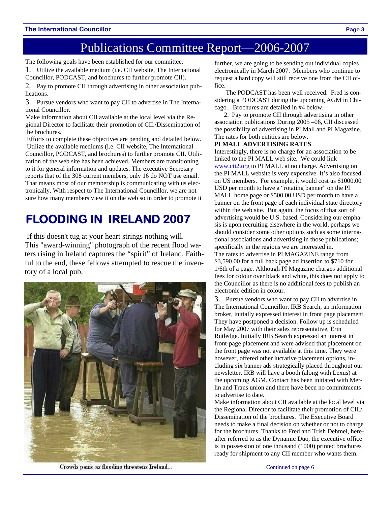### Publications Committee Report—2006-2007

The following goals have been established for our committee.

1. Utilize the available medium (i.e. CII website, The International Councillor, PODCAST, and brochures to further promote CII).

2. Pay to promote CII through advertising in other association publications.

3. Pursue vendors who want to pay CII to advertise in The International Councillor.

Make information about CII available at the local level via the Regional Director to facilitate their promotion of CII./Dissemination of the brochures.

 Efforts to complete these objectives are pending and detailed below. Utilize the available mediums (i.e. CII website, The International Councillor, PODCAST, and brochures) to further promote CII. Utilization of the web site has been achieved. Members are transitioning to it for general information and updates. The executive Secretary reports that of the 308 current members, only 16 do NOT use email. That means most of our membership is communicating with us electronically. With respect to The International Councillor, we are not sure how many members view it on the web so in order to promote it

### **FLOODING IN IRELAND 2007**

 If this doesn't tug at your heart strings nothing will. This "award-winning" photograph of the recent flood waters rising in Ireland captures the "spirit" of Ireland. Faithful to the end, these fellows attempted to rescue the inventory of a local pub.



further, we are going to be sending out individual copies electronically in March 2007. Members who continue to request a hard copy will still receive one from the CII office.

The PODCAST has been well received. Fred is considering a PODCAST during the upcoming AGM in Chicago. Brochures are detailed in #4 below.

 2. Pay to promote CII through advertising in other association publications During 2005 –06, CII discussed the possibility of advertising in PI Mall and PI Magazine. The rates for both entities are below.

#### **PI MALL ADVERTISING RATES**

Interestingly, there is no charge for an association to be linked to the PI MALL web site. We could link www.cii2.org to PI MALL at no charge. Advertising on the PI MALL website is very expensive. It's also focused on US members. For example, it would cost us \$1000.00 USD per month to have a "rotating banner" on the PI MALL home page or \$500.00 USD per month to have a banner on the front page of each individual state directory within the web site. But again, the focus of that sort of advertising would be U.S. based. Considering our emphasis is upon recruiting elsewhere in the world, perhaps we should consider some other options such as some international associations and advertising in those publications; specifically in the regions we are interested in. The rates to advertise in PI MAGAZINE range from \$3,590.00 for a full back page ad insertion to \$710 for 1/6th of a page. Although PI Magazine charges additional fees for colour over black and white, this does not apply to the Councillor as there is no additional fees to publish an electronic edition in colour.

3. Pursue vendors who want to pay CII to advertise in The International Councillor. IRB Search, an information broker, initially expressed interest in front page placement. They have postponed a decision. Follow up is scheduled for May 2007 with their sales representative, Erin Rutledge. Initially IRB Search expressed an interest in front-page placement and were advised that placement on the front page was not available at this time. They were however, offered other lucrative placement options, including six banner ads strategically placed throughout our newsletter. IRB will have a booth (along with Lexus) at the upcoming AGM. Contact has been initiated with Merlin and Trans union and there have been no commitments to advertise to date.

Make information about CII available at the local level via the Regional Director to facilitate their promotion of CII./ Dissemination of the brochures. The Executive Board needs to make a final decision on whether or not to charge for the brochures. Thanks to Fred and Trish Dehmel, hereafter referred to as the Dynamic Duo, the executive office is in possession of one thousand (1000) printed brochures ready for shipment to any CII member who wants them.

Crowds panic as flooding threatens Ireland...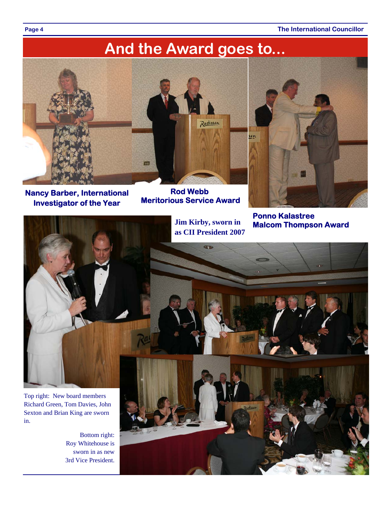**Page 4** The International Councillor

# **And the Award goes to...**



**Nancy Barber, International Investigator of the Year** 



**Rod Webb Meritorious Service Award** 



**Ponno Kalastree** 



in.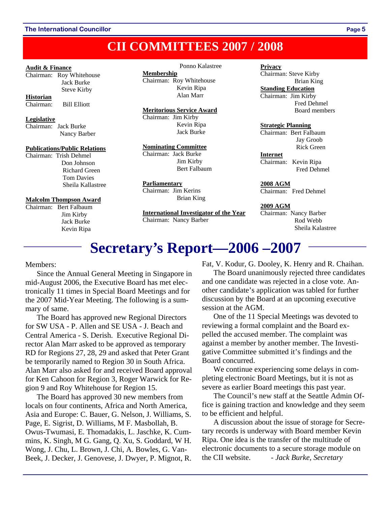### **CII COMMITTEES 2007 / 2008**

#### **Audit & Finance**

Chairman: Roy Whitehouse Jack Burke Steve Kirby **Historian**

| Chairman: |  |  | <b>Bill Elliott</b> |
|-----------|--|--|---------------------|

#### **Legislative**

Chairman: Jack Burke Nancy Barber

#### **Publications/Public Relations**

Chairman: Trish Dehmel Don Johnson Richard Green Tom Davies Sheila Kallastree

#### **Malcolm Thompson Award**

Chairman: Bert Falbaum Jim Kirby Jack Burke Kevin Ripa

#### Ponno Kalastree

**Membership** Chairman: Roy Whitehouse Kevin Ripa Alan Marr

#### **Meritorious Service Award**

Chairman: Jim Kirby Kevin Ripa Jack Burke

#### **Nominating Committee**

Chairman: Jack Burke Jim Kirby Bert Falbaum

#### **Parliamentary**

Chairman: Jim Kerins Brian King

**International Investigator of the Year** Chairman: Nancy Barber

#### **Privacy**

Chairman: Steve Kirby Brian King **Standing Education** Chairman: Jim Kirby Fred Dehmel Board members

#### **Strategic Planning**

Chairman: Bert Falbaum Jay Groob Rick Green

#### **Internet**

Chairman: Kevin Ripa Fred Dehmel

**2008 AGM** Chairman: Fred Dehmel

#### **2009 AGM**

Chairman: Nancy Barber Rod Webb Sheila Kalastree

## **Secretary's Report—2006 –2007**

Members:

Since the Annual General Meeting in Singapore in mid-August 2006, the Executive Board has met electronically 11 times in Special Board Meetings and for the 2007 Mid-Year Meeting. The following is a summary of same.

The Board has approved new Regional Directors for SW USA - P. Allen and SE USA - J. Beach and Central America - S. Derish. Executive Regional Director Alan Marr asked to be approved as temporary RD for Regions 27, 28, 29 and asked that Peter Grant be temporarily named to Region 30 in South Africa. Alan Marr also asked for and received Board approval for Ken Cahoon for Region 3, Roger Warwick for Region 9 and Roy Whitehouse for Region 15.

The Board has approved 30 new members from locals on four continents, Africa and North America, Asia and Europe: C. Bauer, G. Nelson, J. Williams, S. Page, E. Sigrist, D. Williams, M F. Masbollah, B. Owus-Twumasi, E. Thomadakis, L. Jaschke, K. Cummins, K. Singh, M G. Gang, Q. Xu, S. Goddard, W H. Wong, J. Chu, L. Brown, J. Chi, A. Bowles, G. Van-Beek, J. Decker, J. Genovese, J. Dwyer, P. Mignot, R.

Fat, V. Kodur, G. Dooley, K. Henry and R. Chaihan.

The Board unanimously rejected three candidates and one candidate was rejected in a close vote. Another candidate's application was tabled for further discussion by the Board at an upcoming executive session at the AGM.

One of the 11 Special Meetings was devoted to reviewing a formal complaint and the Board expelled the accused member. The complaint was against a member by another member. The Investigative Committee submitted it's findings and the Board concurred.

We continue experiencing some delays in completing electronic Board Meetings, but it is not as severe as earlier Board meetings this past year.

The Council's new staff at the Seattle Admin Office is gaining traction and knowledge and they seem to be efficient and helpful.

A discussion about the issue of storage for Secretary records is underway with Board member Kevin Ripa. One idea is the transfer of the multitude of electronic documents to a secure storage module on the CII website. *- Jack Burke, Secretary*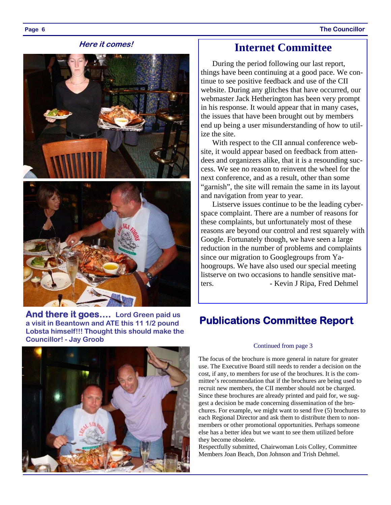#### **Here it comes!**





**And there it goes…. Lord Green paid us a visit in Beantown and ATE this 11 1/2 pound Lobsta himself!!! Thought this should make the Councillor! - Jay Groob** 



During the period following our last report, things have been continuing at a good pace. We continue to see positive feedback and use of the CII website. During any glitches that have occurred, our webmaster Jack Hetherington has been very prompt in his response. It would appear that in many cases, the issues that have been brought out by members end up being a user misunderstanding of how to utilize the site.

With respect to the CII annual conference website, it would appear based on feedback from attendees and organizers alike, that it is a resounding success. We see no reason to reinvent the wheel for the next conference, and as a result, other than some "garnish", the site will remain the same in its layout and navigation from year to year.

Listserve issues continue to be the leading cyberspace complaint. There are a number of reasons for these complaints, but unfortunately most of these reasons are beyond our control and rest squarely with Google. Fortunately though, we have seen a large reduction in the number of problems and complaints since our migration to Googlegroups from Yahoogroups. We have also used our special meeting listserve on two occasions to handle sensitive matters. - Kevin J Ripa, Fred Dehmel

### **Publications Committee Report**

#### Continued from page 3

The focus of the brochure is more general in nature for greater use. The Executive Board still needs to render a decision on the cost, if any, to members for use of the brochures. It is the committee's recommendation that if the brochures are being used to recruit new members, the CII member should not be charged. Since these brochures are already printed and paid for, we suggest a decision be made concerning dissemination of the brochures. For example, we might want to send five (5) brochures to each Regional Director and ask them to distribute them to nonmembers or other promotional opportunities. Perhaps someone else has a better idea but we want to see them utilized before they become obsolete.

Respectfully submitted, Chairwoman Lois Colley, Committee Members Joan Beach, Don Johnson and Trish Dehmel.

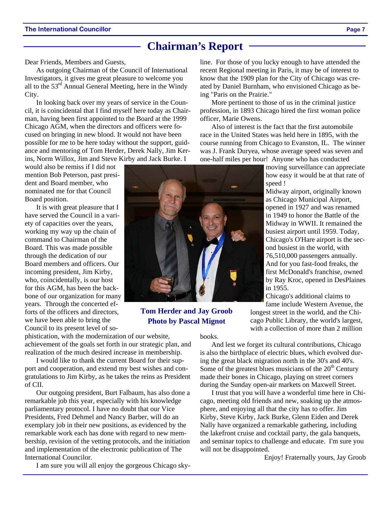### **Chairman's Report**

Dear Friends, Members and Guests,

As outgoing Chairman of the Council of International Investigators, it gives me great pleasure to welcome you all to the 53<sup>rd</sup> Annual General Meeting, here in the Windy City.

In looking back over my years of service in the Council, it is coincidental that I find myself here today as Chairman, having been first appointed to the Board at the 1999 Chicago AGM, when the directors and officers were focused on bringing in new blood. It would not have been possible for me to be here today without the support, guidance and mentoring of Tom Herder, Derek Nally, Jim Kerins, Norm Willox, Jim and Steve Kirby and Jack Burke. I

would also be remiss if I did not mention Bob Peterson, past president and Board member, who nominated me for that Council Board position.

It is with great pleasure that I have served the Council in a variety of capacities over the years, working my way up the chain of command to Chairman of the Board. This was made possible through the dedication of our Board members and officers. Our incoming president, Jim Kirby, who, coincidentally, is our host for this AGM, has been the backbone of our organization for many years. Through the concerted efforts of the officers and directors, we have been able to bring the Council to its present level of so-

phistication, with the modernization of our website, achievement of the goals set forth in our strategic plan, and realization of the much desired increase in membership.

I would like to thank the current Board for their support and cooperation, and extend my best wishes and congratulations to Jim Kirby, as he takes the reins as President of CII.

Our outgoing president, Burt Falbaum, has also done a remarkable job this year, especially with his knowledge parliamentary protocol. I have no doubt that our Vice Presidents, Fred Dehmel and Nancy Barber, will do an exemplary job in their new positions, as evidenced by the remarkable work each has done with regard to new membership, revision of the vetting protocols, and the initiation and implementation of the electronic publication of The International Councilor.

I am sure you will all enjoy the gorgeous Chicago sky-

line. For those of you lucky enough to have attended the recent Regional meeting in Paris, it may be of interest to know that the 1909 plan for the City of Chicago was created by Daniel Burnham, who envisioned Chicago as being "Paris on the Prairie."

More pertinent to those of us in the criminal justice profession, in 1893 Chicago hired the first woman police officer, Marie Owens.

Also of interest is the fact that the first automobile race in the United States was held here in 1895, with the course running from Chicago to Evanston, IL. The winner was J. Frank Duryea, whose average speed was seven and one-half miles per hour! Anyone who has conducted

> moving surveillance can appreciate how easy it would be at that rate of speed !

> Midway airport, originally known as Chicago Municipal Airport, opened in 1927 and was renamed in 1949 to honor the Battle of the Midway in WWII. It remained the busiest airport until 1959. Today, Chicago's O'Hare airport is the second busiest in the world, with 76,510,000 passengers annually. And for you fast-food freaks, the first McDonald's franchise, owned by Ray Kroc, opened in DesPlaines in 1955.

Chicago's additional claims to fame include Western Avenue, the

longest street in the world, and the Chicago Public Library, the world's largest, with a collection of more than 2 million

books.

And lest we forget its cultural contributions, Chicago is also the birthplace of electric blues, which evolved during the great black migration north in the 30's and 40's. Some of the greatest blues musicians of the  $20<sup>th</sup>$  Century made their bones in Chicago, playing on street corners during the Sunday open-air markets on Maxwell Street.

I trust that you will have a wonderful time here in Chicago, meeting old friends and new, soaking up the atmosphere, and enjoying all that the city has to offer. Jim Kirby, Steve Kirby, Jack Burke, Glenn Eiden and Derek Nally have organized a remarkable gathering, including the lakefront cruise and cocktail party, the gala banquets, and seminar topics to challenge and educate. I'm sure you will not be disappointed.

Enjoy! Fraternally yours, Jay Groob

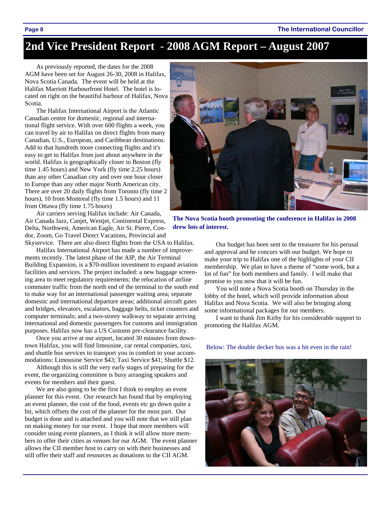#### **Page 8 The International Councillor**

### **2nd Vice President Report - 2008 AGM Report – August 2007**

As previously reported, the dates for the 2008 AGM have been set for August 26-30, 2008 in Halifax, Nova Scotia Canada. The event will be held at the Halifax Marriott Harbourfront Hotel. The hotel is located on right on the beautiful harbour of Halifax, Nova Scotia.

The Halifax International Airport is the Atlantic Canadian centre for domestic, regional and international flight service. With over 600 flights a week, you can travel by air to Halifax on direct flights from many Canadian, U.S., European, and Caribbean destinations. Add to that hundreds more connecting flights and it's easy to get to Halifax from just about anywhere in the world. Halifax is geographically closer to Boston (fly time 1.45 hours) and New York (fly time 2.25 hours) than any other Canadian city and over one hour closer to Europe than any other major North American city. There are over 20 daily flights from Toronto (fly time 2 hours), 10 from Montreal (fly time 1.5 hours) and 11 from Ottawa (fly time 1.75 hours)

Air carriers serving Halifax include: Air Canada, Air Canada Jazz, Canjet, Westjet, Continental Express, Delta, Northwest, American Eagle, Air St. Pierre, Condor, Zoom, Go Travel Direct Vacations, Provincial and Skyservice. There are also direct flights from the USA to Halifax.

Halifax International Airport has made a number of improvements recently. The latest phase of the AIP, the Air Terminal Building Expansion, is a \$70-million investment to expand aviation facilities and services. The project included: a new baggage screening area to meet regulatory requirements; the relocation of airline commuter traffic from the north end of the terminal to the south end to make way for an international passenger waiting area; separate domestic and international departure areas; additional aircraft gates and bridges, elevators, escalators, baggage belts, ticket counters and computer terminals; and a two-storey walkway to separate arriving international and domestic passengers for customs and immigration purposes. Halifax now has a US Customs pre-clearance facility.

Once you arrive at our airport, located 30 minutes from downtown Halifax, you will find limousine, car rental companies, taxi, and shuttle bus services to transport you in comfort to your accommodations: Limousine Service \$43; Taxi Service \$41; Shuttle \$12.

Although this is still the very early stages of preparing for the event, the organizing committee is busy arranging speakers and events for members and their guest.

We are also going to be the first I think to employ an event planner for this event. Our research has found that by employing an event planner, the cost of the food, events etc go down quite a bit, which offsets the cost of the planner for the most part. Our budget is done and is attached and you will note that we still plan on making money for our event. I hope that more members will consider using event planners, as I think it will allow more members to offer their cities as venues for our AGM. The event planner allows the CII member host to carry on with their businesses and still offer their staff and resources as donations to the CII AGM.



**The Nova Scotia booth promoting the conference in Halifax in 2008 drew lots of interest.** 

Our budget has been sent to the treasurer for his perusal and approval and he concurs with our budget. We hope to make your trip to Halifax one of the highlights of your CII membership. We plan to have a theme of "some work, but a lot of fun" for both members and family. I will make that promise to you now that it will be fun.

You will note a Nova Scotia booth on Thursday in the lobby of the hotel, which will provide information about Halifax and Nova Scotia. We will also be bringing along some informational packages for our members.

I want to thank Jim Kirby for his considerable support to promoting the Halifax AGM.



Below: The double decker bus was a hit even in the rain!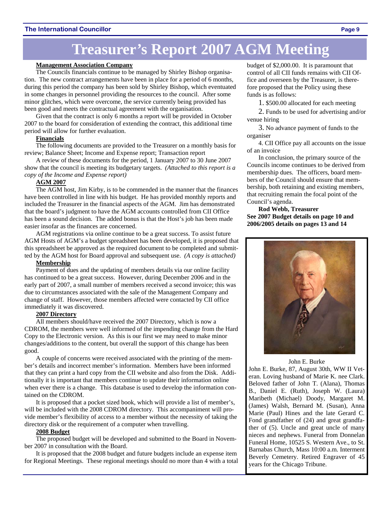# **Treasurer's Report 2007 AGM Meeting**

#### **Management Association Company**

The Councils financials continue to be managed by Shirley Bishop organisation. The new contract arrangements have been in place for a period of 6 months, during this period the company has been sold by Shirley Bishop, which eventuated in some changes in personnel providing the resources to the council. After some minor glitches, which were overcome, the service currently being provided has been good and meets the contractual agreement with the organisation.

Given that the contract is only 6 months a report will be provided in October 2007 to the board for consideration of extending the contract, this additional time period will allow for further evaluation.

#### **Financials**

The following documents are provided to the Treasurer on a monthly basis for review; Balance Sheet; Income and Expense report; Transaction report

A review of these documents for the period, 1 January 2007 to 30 June 2007 show that the council is meeting its budgetary targets. *(Attached to this report is a copy of the Income and Expense report)*

#### **AGM 2007**

The AGM host, Jim Kirby, is to be commended in the manner that the finances have been controlled in line with his budget. He has provided monthly reports and included the Treasurer in the financial aspects of the AGM. Jim has demonstrated that the board's judgment to have the AGM accounts controlled from CII Office has been a sound decision. The added bonus is that the Host's job has been made easier insofar as the finances are concerned.

AGM registrations via online continue to be a great success. To assist future AGM Hosts of AGM's a budget spreadsheet has been developed, it is proposed that this spreadsheet be approved as the required document to be completed and submitted by the AGM host for Board approval and subsequent use. *(A copy is attached)*

#### **Membership**

Payment of dues and the updating of members details via our online facility has continued to be a great success. However, during December 2006 and in the early part of 2007, a small number of members received a second invoice; this was due to circumstances associated with the sale of the Management Company and change of staff. However, those members affected were contacted by CII office immediately it was discovered.

#### **2007 Directory**

All members should/have received the 2007 Directory, which is now a CDROM, the members were well informed of the impending change from the Hard Copy to the Electronic version. As this is our first we may need to make minor changes/additions to the content, but overall the support of this change has been good.

A couple of concerns were received associated with the printing of the member's details and incorrect member's information. Members have been informed that they can print a hard copy from the CII website and also from the Disk. Additionally it is important that members continue to update their information online when ever there is a change. This database is used to develop the information contained on the CDROM.

It is proposed that a pocket sized book, which will provide a list of member's, will be included with the 2008 CDROM directory. This accompaniment will provide member's flexibility of access to a member without the necessity of taking the directory disk or the requirement of a computer when travelling.

#### **2008 Budget**

The proposed budget will be developed and submitted to the Board in November 2007 in consultation with the Board.

It is proposed that the 2008 budget and future budgets include an expense item for Regional Meetings. These regional meetings should no more than 4 with a total budget of \$2,000.00. It is paramount that control of all CII funds remains with CII Office and overseen by the Treasurer, is therefore proposed that the Policy using these funds is as follows:

1. \$500.00 allocated for each meeting

2. Funds to be used for advertising and/or venue hiring

3. No advance payment of funds to the organiser

4. CII Office pay all accounts on the issue of an invoice

In conclusion, the primary source of the Councils income continues to be derived from membership dues. The officers, board members of the Council should ensure that membership, both retaining and existing members, that recruiting remain the focal point of the Council's agenda.

#### **Rod Webb, Treasurer See 2007 Budget details on page 10 and 2006/2005 details on pages 13 and 14**



#### John E. Burke

John E. Burke, 87, August 30th, WW II Veteran. Loving husband of Marie K. nee Clark. Beloved father of John T. (Alana), Thomas B., Daniel E. (Ruth), Joseph W. (Laura) Maribeth (Michael) Doody, Margaret M. (James) Walsh, Bernard M. (Susan), Anna Marie (Paul) Hines and the late Gerard C. Fond grandfather of (24) and great grandfather of (5). Uncle and great uncle of many nieces and nephews. Funeral from Donnelan Funeral Home, 10525 S. Western Ave., to St. Barnabas Church, Mass 10:00 a.m. Interment Beverly Cemetery. Retired Engraver of 45 years for the Chicago Tribune.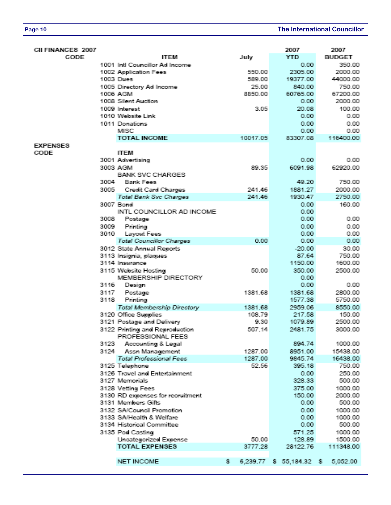| CII FINANCES 2007 |                                |                                              |    |          | 2007                              | 2007          |
|-------------------|--------------------------------|----------------------------------------------|----|----------|-----------------------------------|---------------|
| CODE              |                                | <b>ITEM</b>                                  |    | July     | <b>YTD</b>                        | <b>BUDGET</b> |
|                   | 1001 Inti Councillor Ad Income |                                              |    |          | 0.00                              | 350.00        |
|                   |                                | 1002 Application Fees                        |    | 550.00   | 2305.00                           | 2000.00       |
|                   |                                | <b>1003 Dues</b>                             |    | 589.00   | 19377.00                          | 44000.00      |
|                   |                                | 1005 Directory Ad Income                     |    | 25.00    | <b>840.00</b>                     | 750.00        |
|                   |                                | 1006 AGM                                     |    | 8850.00  | 60765.00                          | 67200.00      |
|                   |                                | 1008 Silent Auction                          |    |          | 0.00                              | 2000.00       |
|                   |                                | 1009 Interest                                |    | 3.05     | 20.08                             | 100,00        |
|                   |                                | 1010 Website Link                            |    |          | 0.00                              | 0.00.         |
|                   |                                | 1011 Donations                               |    |          | 0.00                              | 0.00          |
|                   |                                | <b>MISC</b>                                  |    |          | 0.00                              | 0.00          |
|                   |                                | <b>TOTAL INCOME</b>                          |    | 10017.05 | 83307.08                          | 116400.00     |
| <b>EXPENSES</b>   |                                |                                              |    |          |                                   |               |
| CODE              |                                | <b>ITEM</b>                                  |    |          |                                   |               |
|                   |                                | 3001 Advertising                             |    |          | 0.00                              | 0.00.         |
|                   |                                | 3003 AGM                                     |    | 89.35    | 6091.98                           | 62920.00      |
|                   |                                | <b>BANK SVC CHARGES</b>                      |    |          |                                   |               |
|                   | 3004                           | <b>Bank Fees</b>                             |    |          | 49.20                             | 750.00        |
|                   | 3005                           | <b>Credit Card Charges</b>                   |    | 241.46   | 1881.27                           | 2000.00       |
|                   |                                | <b>Total Bank Svc Charges</b>                |    | 241.46   | 1930.47                           | 2750.00       |
|                   |                                | 3007 Bond                                    |    |          | 0.00                              | 160,00        |
|                   |                                | INTL COUNCILLOR AD INCOME                    |    |          | 0.00                              |               |
|                   | 3008                           | Postage                                      |    |          | 0.00                              | 0.00.         |
|                   | 3009                           | Printing                                     |    |          | 0.00                              | 0.00          |
|                   | 3010                           | Layout Fees                                  |    |          | 0.00                              | 0.00          |
|                   |                                | <b>Total Councillor Charges</b>              |    | 0.00     | 0.00                              | 0.00          |
|                   |                                | 3012 State Annual Reports                    |    |          | $-20.00$                          | 30,00         |
|                   |                                | 3113 Insignia, plaques                       |    |          | 87.64                             | 750.00        |
|                   |                                | 3114 Insurance                               |    |          | 1150.00                           | 1600.00       |
|                   |                                | 3115 Website Hosting<br>MEMBERSHIP DIRECTORY |    | 50.00    | 350,00                            | 2500.00       |
|                   | 3115                           | Design                                       |    |          | 0.00<br>0.00                      | 0.00          |
|                   | 3117.                          |                                              |    |          | 1381.68                           | 2800.00       |
|                   | 341181                         | Postage<br>Printing                          |    | 1381.68  | 1577.38                           | 5750.00       |
|                   |                                | <b>Total Membership Directory</b>            |    | 1381.68  | 2959.06                           | 8550.00       |
|                   |                                | 3120 Office Supplies                         |    | 108.79   | 217.58                            | 150.00        |
|                   |                                | 3121 Postage and Delivery                    |    | 9.30     | 1079.89                           | 2500.00       |
|                   |                                | 3122 Printing and Reproduction               |    | 507.14   | 2481.75                           | 3000.00       |
|                   |                                | PROFESSIONAL FEES                            |    |          |                                   |               |
|                   |                                | 3123 Accounting & Legal                      |    |          | 1944 74                           | 1000.00       |
|                   |                                | 3124 Assn Management                         |    | 1287.00  | 8951.00                           | 15438.00      |
|                   |                                | <b>Total Professional Fees:</b>              |    | 1287.00  | 9845.74                           | 16438.00      |
|                   |                                | 3125 Telephone                               |    | 52.56    | 395.18                            | 750.00        |
|                   |                                | 3126 Travel and Entertainment                |    |          | 0.00                              | 250,00        |
|                   |                                | 3127 Memorials                               |    |          | 328.33                            | 500.00        |
|                   |                                | 3128 Vetting Fees                            |    |          | 31756 000                         | 1000.00       |
|                   |                                | 3130 RD expenses for recruitment             |    |          | 150,00                            | 2000.00       |
|                   |                                | 3131 Members Gifts                           |    |          | $0.00 -$                          | 500.00        |
|                   |                                | 3132 SA/Council Promotion                    |    |          | $0.00 -$                          | 1000.00       |
|                   |                                | 3133 SA/Health & Welfare                     |    |          | 0.001                             | 1000.00       |
|                   |                                | 3134 Historical Committee                    |    |          | 0.001                             | 500.00        |
|                   |                                | 3135 Pod Casting                             |    |          | 571.25                            | 1000,00       |
|                   |                                | Uncategorized Expense                        |    | 50.00    | 128,89                            | 1500.00       |
|                   |                                | <b>TOTAL EXPENSES</b>                        |    | 3777.28  | 28122.76                          | 111348.00     |
|                   |                                |                                              |    |          |                                   |               |
|                   |                                | <b>NET INCOME</b>                            | 多。 |          | 6,239.77 \$ 55,184.32 \$ 5,052.00 |               |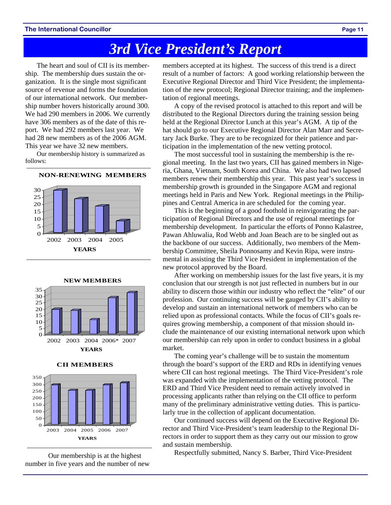# *3rd Vice President's Report*

The heart and soul of CII is its membership. The membership dues sustain the organization. It is the single most significant source of revenue and forms the foundation of our international network. Our membership number hovers historically around 300. We had 290 members in 2006. We currently have 306 members as of the date of this report. We had 292 members last year. We had 28 new members as of the 2006 AGM. This year we have 32 new members.

Our membership history is summarized as follows:

#### **NON-RENEWING MEMBERS**









**CII MEMBERS**



Our membership is at the highest number in five years and the number of new

members accepted at its highest. The success of this trend is a direct result of a number of factors: A good working relationship between the Executive Regional Director and Third Vice President; the implementation of the new protocol; Regional Director training; and the implementation of regional meetings.

A copy of the revised protocol is attached to this report and will be distributed to the Regional Directors during the training session being held at the Regional Director Lunch at this year's AGM. A tip of the hat should go to our Executive Regional Director Alan Marr and Secretary Jack Burke. They are to be recognized for their patience and participation in the implementation of the new vetting protocol.

The most successful tool in sustaining the membership is the regional meeting. In the last two years, CII has gained members in Nigeria, Ghana, Vietnam, South Korea and China. We also had two lapsed members renew their membership this year. This past year's success in membership growth is grounded in the Singapore AGM and regional meetings held in Paris and New York. Regional meetings in the Philippines and Central America in are scheduled for the coming year.

This is the beginning of a good foothold in reinvigorating the participation of Regional Directors and the use of regional meetings for membership development. In particular the efforts of Ponno Kalastree, Pawan Ahluwalia, Rod Webb and Joan Beach are to be singled out as the backbone of our success. Additionally, two members of the Membership Committee, Sheila Ponnosamy and Kevin Ripa, were instrumental in assisting the Third Vice President in implementation of the new protocol approved by the Board.

After working on membership issues for the last five years, it is my conclusion that our strength is not just reflected in numbers but in our ability to discern those within our industry who reflect the "elite" of our profession. Our continuing success will be gauged by CII's ability to develop and sustain an international network of members who can be relied upon as professional contacts. While the focus of CII's goals requires growing membership, a component of that mission should include the maintenance of our existing international network upon which our membership can rely upon in order to conduct business in a global market.

The coming year's challenge will be to sustain the momentum through the board's support of the ERD and RDs in identifying venues where CII can host regional meetings. The Third Vice-President's role was expanded with the implementation of the vetting protocol. The ERD and Third Vice President need to remain actively involved in processing applicants rather than relying on the CII office to perform many of the preliminary administrative vetting duties. This is particularly true in the collection of applicant documentation.

Our continued success will depend on the Executive Regional Director and Third Vice-President's team leadership to the Regional Directors in order to support them as they carry out our mission to grow and sustain membership.

Respectfully submitted, Nancy S. Barber, Third Vice-President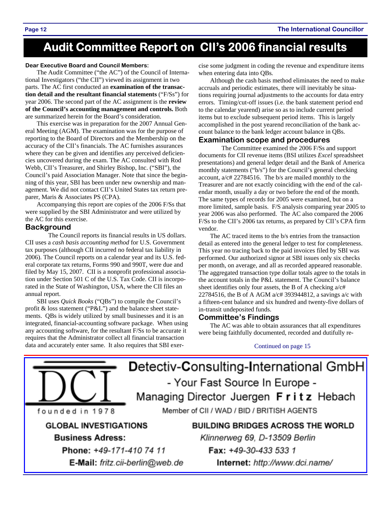## **Audit Committee Report on CII's 2006 financial results**

#### **Dear Executive Board and Council Members:**

The Audit Committee ("the AC") of the Council of International Investigators ("the CII") viewed its assignment in two parts. The AC first conducted an **examination of the transaction detail and the resultant financial statements** ("F/Ss") for year 2006. The second part of the AC assignment is the **review of the Council's accounting management and controls.** Both are summarized herein for the Board's consideration.

This exercise was in preparation for the 2007 Annual General Meeting (AGM). The examination was for the purpose of reporting to the Board of Directors and the Membership on the accuracy of the CII's financials. The AC furnishes assurances where they can be given and identifies any perceived deficiencies uncovered during the exam. The AC consulted with Rod Webb, CII's Treasurer, and Shirley Bishop, Inc. ("SBI"), the Council's paid Association Manager. Note that since the beginning of this year, SBI has been under new ownership and management. We did not contact CII's United States tax return preparer, Maris & Associates PS (CPA).

Accompanying this report are copies of the 2006 F/Ss that were supplied by the SBI Administrator and were utilized by the AC for this exercise.

#### **Background**

 The Council reports its financial results in US dollars. CII uses a *cash basis accounting method* for U.S. Government tax purposes (although CII incurred no federal tax liability in 2006). The Council reports on a calendar year and its U.S. federal corporate tax returns, Forms 990 and 990T, were due and filed by May 15, 2007. CII is a nonprofit professional association under Section 501 C of the U.S. Tax Code. CII is incorporated in the State of Washington, USA, where the CII files an annual report.

SBI uses *Quick Books* ("QBs") to compile the Council's profit & loss statement ("P&L") and the balance sheet statements. QBs is widely utilized by small businesses and it is an integrated, financial-accounting software package. When using any accounting software, for the resultant F/Ss to be accurate it requires that the Administrator collect all financial transaction data and accurately enter same. It also requires that SBI exer-

cise some judgment in coding the revenue and expenditure items when entering data into QBs*.* 

Although the cash basis method eliminates the need to make accruals and periodic estimates, there will inevitably be situations requiring journal adjustments to the accounts for data entry errors. Timing/cut-off issues (i.e. the bank statement period end to the calendar yearend) arise so as to include current period items but to exclude subsequent period items. This is largely accomplished in the post yearend reconciliation of the bank account balance to the bank ledger account balance in QBs.

#### **Examination scope and procedures**

 The Committee examined the 2006 F/Ss and support documents for CII revenue items (BSI utilizes *Excel* spreadsheet presentations) and general ledger detail and the Bank of America monthly statements ("b/s") for the Council's general checking account, a/c# 22784516. The b/s are mailed monthly to the Treasurer and are not exactly coinciding with the end of the calendar month, usually a day or two before the end of the month. The same types of records for 2005 were examined, but on a more limited, sample basis. F/S analysis comparing year 2005 to year 2006 was also performed. The AC also compared the 2006 F/Ss to the CII's 2006 tax returns, as prepared by CII's CPA firm vendor.

The AC traced items to the b/s entries from the transaction detail as entered into the general ledger to test for completeness. This year no tracing back to the paid invoices filed by SBI was performed. Our authorized signor at SBI issues only six checks per month, on average, and all as recorded appeared reasonable. The aggregated transaction type dollar totals agree to the totals in the account totals in the P&L statement. The Council's balance sheet identifies only four assets, the B of A checking  $a/c$ # 22784516, the B of A AGM a/c# 393944812, a savings a/c with a fifteen-cent balance and six hundred and twenty-five dollars of in-transit undeposited funds.

#### **Committee's Findings**

The AC was able to obtain assurances that all expenditures were being faithfully documented, recorded and dutifully re-

#### Continued on page 15

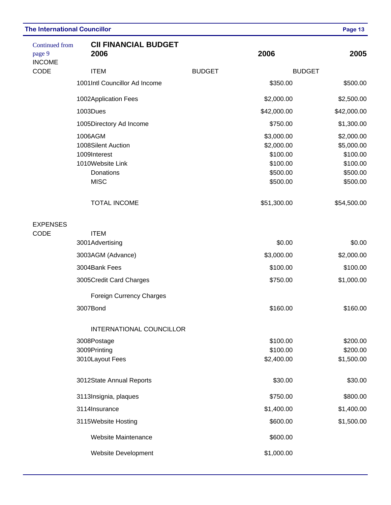| <b>Continued from</b><br>page 9<br><b>INCOME</b> | <b>CII FINANCIAL BUDGET</b><br>2006                                                           | 2006          | 2005                                                                     |                                                                          |
|--------------------------------------------------|-----------------------------------------------------------------------------------------------|---------------|--------------------------------------------------------------------------|--------------------------------------------------------------------------|
| CODE                                             | <b>ITEM</b>                                                                                   | <b>BUDGET</b> |                                                                          |                                                                          |
|                                                  | 1001Intl Councillor Ad Income                                                                 |               | \$350.00                                                                 | \$500.00                                                                 |
|                                                  | 1002Application Fees                                                                          |               | \$2,000.00                                                               | \$2,500.00                                                               |
|                                                  | 1003Dues                                                                                      |               | \$42,000.00                                                              | \$42,000.00                                                              |
|                                                  | 1005Directory Ad Income                                                                       |               | \$750.00                                                                 | \$1,300.00                                                               |
|                                                  | 1006AGM<br>1008Silent Auction<br>1009Interest<br>1010Website Link<br>Donations<br><b>MISC</b> |               | \$3,000.00<br>\$2,000.00<br>\$100.00<br>\$100.00<br>\$500.00<br>\$500.00 | \$2,000.00<br>\$5,000.00<br>\$100.00<br>\$100.00<br>\$500.00<br>\$500.00 |
|                                                  | <b>TOTAL INCOME</b>                                                                           |               | \$51,300.00                                                              | \$54,500.00                                                              |
| <b>EXPENSES</b><br>CODE                          | <b>ITEM</b>                                                                                   |               |                                                                          |                                                                          |
|                                                  | 3001Advertising                                                                               | \$0.00        | \$0.00                                                                   |                                                                          |
|                                                  | 3003AGM (Advance)                                                                             | \$3,000.00    | \$2,000.00                                                               |                                                                          |
|                                                  | 3004Bank Fees                                                                                 | \$100.00      | \$100.00                                                                 |                                                                          |
|                                                  | 3005Credit Card Charges                                                                       | \$750.00      | \$1,000.00                                                               |                                                                          |
|                                                  | <b>Foreign Currency Charges</b>                                                               |               |                                                                          |                                                                          |
|                                                  | 3007Bond                                                                                      |               | \$160.00                                                                 | \$160.00                                                                 |
|                                                  | <b>INTERNATIONAL COUNCILLOR</b>                                                               |               |                                                                          |                                                                          |
|                                                  | 3008Postage                                                                                   |               | \$100.00                                                                 | \$200.00                                                                 |
|                                                  | 3009Printing                                                                                  |               | \$100.00                                                                 | \$200.00                                                                 |
|                                                  | 3010Layout Fees                                                                               |               | \$2,400.00                                                               | \$1,500.00                                                               |
|                                                  | 3012State Annual Reports                                                                      |               | \$30.00                                                                  | \$30.00                                                                  |
|                                                  | 3113Insignia, plaques                                                                         | \$750.00      | \$800.00                                                                 |                                                                          |
|                                                  | 3114Insurance                                                                                 | \$1,400.00    | \$1,400.00                                                               |                                                                          |
|                                                  | 3115Website Hosting                                                                           | \$600.00      | \$1,500.00                                                               |                                                                          |
|                                                  | <b>Website Maintenance</b>                                                                    |               | \$600.00                                                                 |                                                                          |
|                                                  | <b>Website Development</b>                                                                    |               | \$1,000.00                                                               |                                                                          |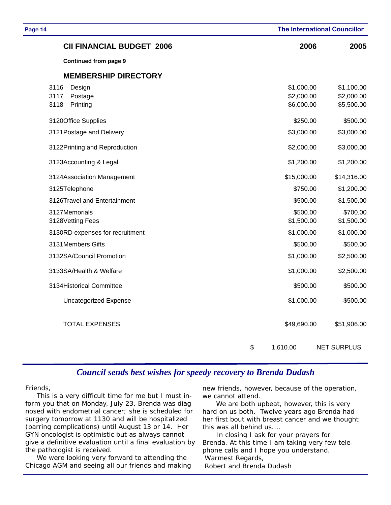| Page 14                                               | <b>The International Councillor</b>    |                                        |
|-------------------------------------------------------|----------------------------------------|----------------------------------------|
| <b>CII FINANCIAL BUDGET 2006</b>                      | 2006                                   | 2005                                   |
| <b>Continued from page 9</b>                          |                                        |                                        |
| <b>MEMBERSHIP DIRECTORY</b>                           |                                        |                                        |
| 3116<br>Design<br>3117<br>Postage<br>3118<br>Printing | \$1,000.00<br>\$2,000.00<br>\$6,000.00 | \$1,100.00<br>\$2,000.00<br>\$5,500.00 |
| 3120Office Supplies                                   | \$250.00                               | \$500.00                               |
| 3121 Postage and Delivery                             | \$3,000.00                             | \$3,000.00                             |
| 3122Printing and Reproduction                         | \$2,000.00                             | \$3,000.00                             |
| 3123Accounting & Legal                                | \$1,200.00                             | \$1,200.00                             |
| 3124Association Management                            | \$15,000.00                            | \$14,316.00                            |
| 3125Telephone                                         | \$750.00                               | \$1,200.00                             |
| 3126Travel and Entertainment                          | \$500.00                               | \$1,500.00                             |
| 3127Memorials<br>3128Vetting Fees                     | \$500.00<br>\$1,500.00                 | \$700.00<br>\$1,500.00                 |
| 3130RD expenses for recruitment                       | \$1,000.00                             | \$1,000.00                             |
| 3131Members Gifts                                     | \$500.00                               | \$500.00                               |
| 3132SA/Council Promotion                              | \$1,000.00                             | \$2,500.00                             |
| 3133SA/Health & Welfare                               | \$1,000.00                             | \$2,500.00                             |
| 3134Historical Committee                              | \$500.00                               | \$500.00                               |
| <b>Uncategorized Expense</b>                          | \$1,000.00                             | \$500.00                               |
| <b>TOTAL EXPENSES</b>                                 | \$49,690.00                            | \$51,906.00                            |
| \$                                                    | 1,610.00                               | <b>NET SURPLUS</b>                     |

### *Council sends best wishes for speedy recovery to Brenda Dudash*

#### Friends,

This is a very difficult time for me but I must inform you that on Monday, July 23, Brenda was diagnosed with endometrial cancer; she is scheduled for surgery tomorrow at 1130 and will be hospitalized (barring complications) until August 13 or 14. Her GYN oncologist is optimistic but as always cannot give a definitive evaluation until a final evaluation by the pathologist is received.

We were looking very forward to attending the Chicago AGM and seeing all our friends and making new friends, however, because of the operation, we cannot attend.

 We are both upbeat, however, this is very hard on us both. Twelve years ago Brenda had her first bout with breast cancer and we thought this was all behind us....

 In closing I ask for your prayers for Brenda. At this time I am taking very few telephone calls and I hope you understand. *Warmest Regards, Robert and Brenda Dudash*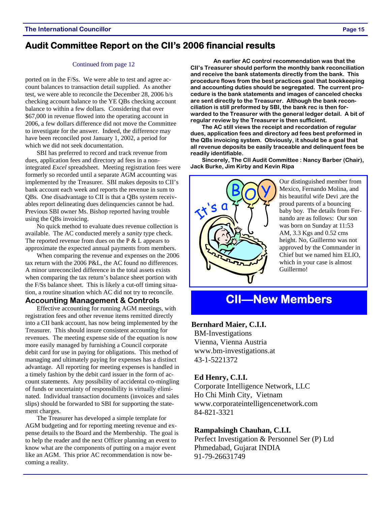### **Audit Committee Report on the CII's 2006 financial results**

#### Continued from page 12

ported on in the F/Ss. We were able to test and agree account balances to transaction detail supplied. As another test, we were able to reconcile the December 28, 2006 b/s checking account balance to the YE QBs checking account balance to within a few dollars. Considering that over \$67,000 in revenue flowed into the operating account in 2006, a few dollars difference did not move the Committee to investigate for the answer. Indeed, the difference may have been reconciled post January 1, 2002, a period for which we did not seek documentation.

SBI has preferred to record and track revenue from dues, application fees and directory ad fees in a nonintegrated *Excel* spreadsheet. Meeting registration fees were formerly so recorded until a separate AGM accounting was implemented by the Treasurer. SBI makes deposits to CII's bank account each week and reports the revenue in sum to QBs. One disadvantage to CII is that a QBs system receivables report delineating dues delinquencies cannot be had. Previous SBI owner Ms. Bishop reported having trouble using the QBs invoicing.

No quick method to evaluate dues revenue collection is available. The AC conducted merely a *sanity* type check. The reported revenue from dues on the  $P \& L$  appears to approximate the expected annual payments from members.

When comparing the revenue and expenses on the 2006 tax return with the 2006 P&L, the AC found no differences. A minor unreconciled difference in the total assets exists when comparing the tax return's balance sheet portion with the F/Ss balance sheet. This is likely a cut-off timing situation, a routine situation which AC did not try to reconcile.

### **Accounting Management & Controls**

Effective accounting for running AGM meetings, with registration fees and other revenue items remitted directly into a CII bank account, has now being implemented by the Treasurer. This should insure consistent accounting for revenues. The meeting expense side of the equation is now more easily managed by furnishing a Council corporate debit card for use in paying for obligations. This method of managing and ultimately paying for expenses has a distinct advantage. All reporting for meeting expenses is handled in a timely fashion by the debit card issuer in the form of account statements. Any possibility of accidental co-mingling of funds or uncertainty of responsibility is virtually eliminated. Individual transaction documents (invoices and sales slips) should be forwarded to SBI for supporting the statement charges.

The Treasurer has developed a simple template for AGM budgeting and for reporting meeting revenue and expense details to the Board and the Membership. The goal is to help the reader and the next Officer planning an event to know what are the components of putting on a major event like an AGM. This prior AC recommendation is now becoming a reality.

 **An earlier AC control recommendation was that the CII's Treasurer should perform the monthly bank reconciliation and receive the bank statements directly from the bank. This procedure flows from the best practices goal that bookkeeping and accounting duties should be segregated. The current procedure is the bank statements and images of canceled checks are sent directly to the Treasurer. Although the bank reconciliation is still preformed by SBI, the bank rec is then forwarded to the Treasurer with the general ledger detail. A bit of regular review by the Treasurer is then sufficient.** 

**The AC still views the receipt and recordation of regular dues, application fees and directory ad fees best preformed in the QBs invoicing system. Obviously, it should be a goal that all revenue deposits be easily traceable and delinquent fees be readily identifiable.** 

**Sincerely, The CII Audit Committee : Nancy Barber (Chair), Jack Burke, Jim Kirby and Kevin Ripa** 



Our distinguished member from Mexico, Fernando Molina, and his beautiful wife Devi ,are the proud parents of a bouncing baby boy. The details from Fernando are as follows: Our son was born on Sunday at 11:53 AM, 3.3 Kgs and 0.52 cms height. No, Guillermo was not approved by the Commander in Chief but we named him ELIO, which in your case is almost Guillermo!

### **CII—New Members**

### **Bernhard Maier, C.I.I.**

BM-Investigations Vienna, Vienna Austria www.bm-investigations.at 43-1-5221372

### **Ed Henry, C.I.I.**

Corporate Intelligence Network, LLC Ho Chi Minh City, Vietnam www.corporateintelligencenetwork.com 84-821-3321

### **Rampalsingh Chauhan, C.I.I.**

Perfect Investigation & Personnel Ser (P) Ltd Phmedabad, Gujarat INDIA 91-79-26631749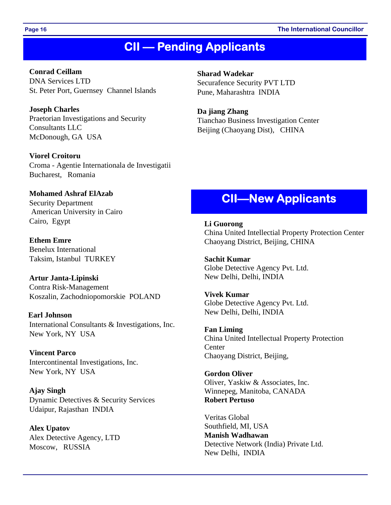#### **Page 16 The International Councillor**

### **CII — Pending Applicants**

 **Conrad Ceillam**  DNA Services LTD St. Peter Port, Guernsey Channel Islands

**Joseph Charles**  Praetorian Investigations and Security Consultants LLC McDonough, GA USA

**Viorel Croitoru**  Croma - Agentie Internationala de Investigatii Bucharest, Romania

**Mohamed Ashraf ElAzab**  Security Department American University in Cairo Cairo, Egypt

**Ethem Emre**  Benelux International Taksim, Istanbul TURKEY

**Artur Janta-Lipinski**  Contra Risk-Management Koszalin, Zachodniopomorskie POLAND

**Earl Johnson**  International Consultants & Investigations, Inc. New York, NY USA

**Vincent Parco**  Intercontinental Investigations, Inc. New York, NY USA

 **Ajay Singh**  Dynamic Detectives & Security Services Udaipur, Rajasthan INDIA

 **Alex Upatov**  Alex Detective Agency, LTD Moscow, RUSSIA

**Sharad Wadekar**  Securafence Security PVT LTD Pune, Maharashtra INDIA

**Da jiang Zhang**  Tianchao Business Investigation Center Beijing (Chaoyang Dist), CHINA

### **CII—New Applicants**

**Li Guorong**  China United Intellectial Property Protection Center Chaoyang District, Beijing, CHINA

**Sachit Kumar**  Globe Detective Agency Pvt. Ltd. New Delhi, Delhi, INDIA

**Vivek Kumar**  Globe Detective Agency Pvt. Ltd. New Delhi, Delhi, INDIA

**Fan Liming**  China United Intellectual Property Protection **Center** Chaoyang District, Beijing,

**Gordon Oliver**  Oliver, Yaskiw & Associates, Inc. Winnepeg, Manitoba, CANADA **Robert Pertuso** 

Veritas Global Southfield, MI, USA **Manish Wadhawan**  Detective Network (India) Private Ltd. New Delhi, INDIA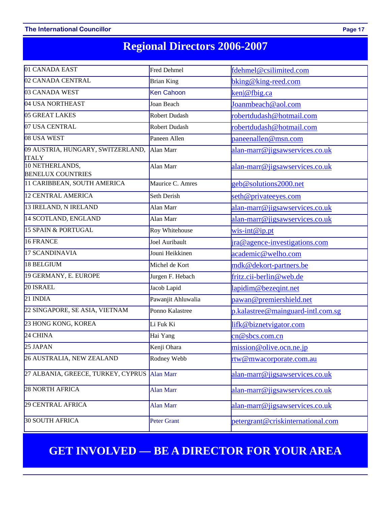# **Regional Directors 2006-2007**

| 01 CANADA EAST                                              | Fred Dehmel          | fdehmel@csilimited.com            |
|-------------------------------------------------------------|----------------------|-----------------------------------|
| 02 CANADA CENTRAL                                           | <b>Brian King</b>    | $bking@king-red.com$              |
| 03 CANADA WEST                                              | <b>Ken Cahoon</b>    | ken @fbig.ca                      |
| 04 USA NORTHEAST                                            | Joan Beach           | Joanmbeach@aol.com                |
| 05 GREAT LAKES                                              | <b>Robert Dudash</b> | robertdudash@hotmail.com          |
| 07 USA CENTRAL                                              | <b>Robert Dudash</b> | robertdudash@hotmail.com          |
| 08 USA WEST                                                 | Paneen Allen         | paneenallen@msn.com               |
| 09 AUSTRIA, HUNGARY, SWITZERLAND, Alan Marr<br><b>ITALY</b> |                      | alan-marr@jigsawservices.co.uk    |
| 10 NETHERLANDS,<br><b>BENELUX COUNTRIES</b>                 | Alan Marr            | alan-marr@jigsawservices.co.uk    |
| 11 CARIBBEAN, SOUTH AMERICA                                 | Maurice C. Amres     | geb@solutions2000.net             |
| 12 CENTRAL AMERICA                                          | Seth Derish          | seth@privateeyes.com              |
| 13 IRELAND, N IRELAND                                       | Alan Marr            | alan-marr@jigsawservices.co.uk    |
| 14 SCOTLAND, ENGLAND                                        | Alan Marr            | alan-marr@jigsawservices.co.uk    |
| 15 SPAIN & PORTUGAL                                         | Roy Whitehouse       | $wis-int@ippt$                    |
| 16 FRANCE                                                   | Joel Auribault       | ira@agence-investigations.com     |
| 17 SCANDINAVIA                                              | Jouni Heikkinen      | academic@welho.com                |
| 18 BELGIUM                                                  | Michel de Kort       | mdk@dekort-partners.be            |
| 19 GERMANY, E. EUROPE                                       | Jurgen F. Hebach     | fritz.cii-berlin@web.de           |
| 20 ISRAEL                                                   | Jacob Lapid          | lapidim@bezeqint.net              |
| 21 INDIA                                                    | Pawanjit Ahluwalia   | pawan@premiershield.net           |
| 22 SINGAPORE, SE ASIA, VIETNAM                              | Ponno Kalastree      | p.kalastree@mainguard-intl.com.sg |
| 23 HONG KONG, KOREA                                         | Li Fuk Ki            | lifk@biznetvigator.com            |
| 24 CHINA                                                    | Hai Yang             | cn@sbcs.com.cn                    |
| 25 JAPAN                                                    | Kenji Ohara          | mission@olive.ocn.ne.jp           |
| 26 AUSTRALIA, NEW ZEALAND                                   | Rodney Webb          | rtw@mwacorporate.com.au           |
| 27 ALBANIA, GREECE, TURKEY, CYPRUS                          | <b>Alan Marr</b>     | alan-marr@jigsawservices.co.uk    |
| 28 NORTH AFRICA                                             | <b>Alan Marr</b>     | alan-marr@jigsawservices.co.uk    |
| 29 CENTRAL AFRICA                                           | <b>Alan Marr</b>     | alan-marr@jigsawservices.co.uk    |
| <b>30 SOUTH AFRICA</b>                                      | <b>Peter Grant</b>   | petergrant@criskinternational.com |

### **GET INVOLVED — BE A DIRECTOR FOR YOUR AREA**